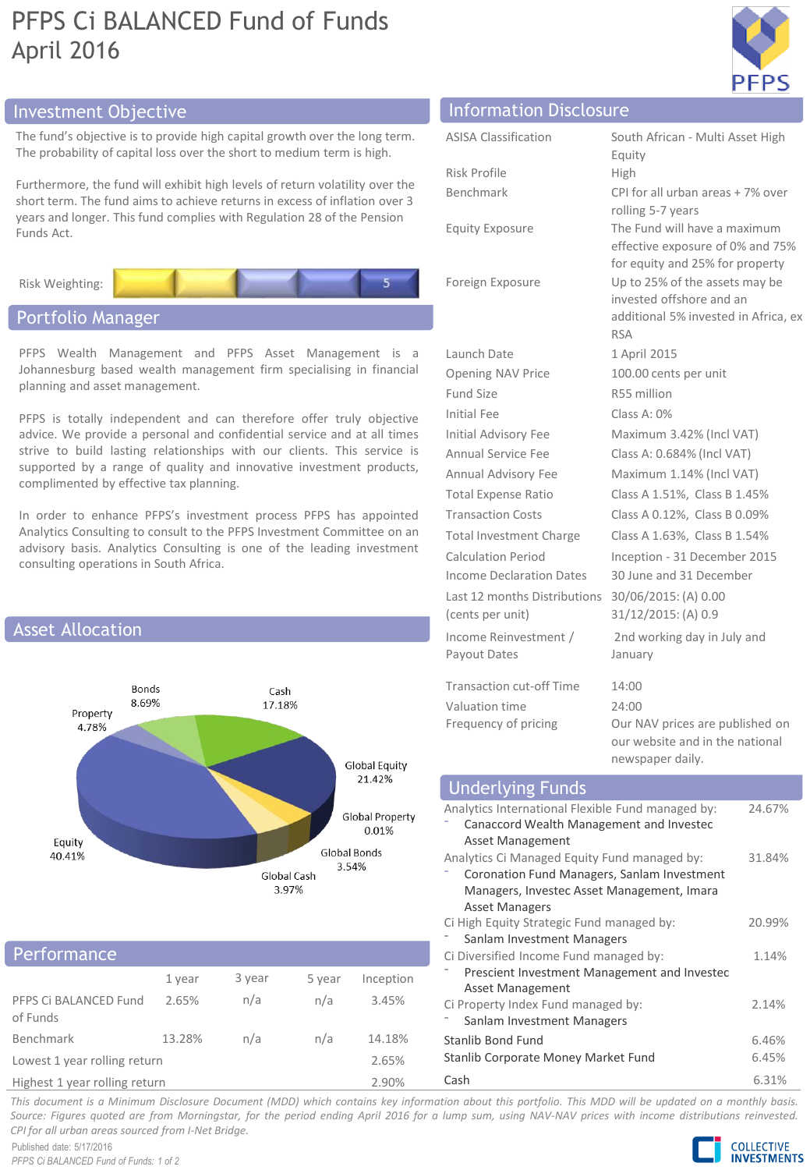# PFPS Ci BALANCED Fund of Funds April 2016



The fund's objective is to provide high capital growth over the long term. The probability of capital loss over the short to medium term is high.

Furthermore, the fund will exhibit high levels of return volatility over the short term. The fund aims to achieve returns in excess of inflation over 3 years and longer. This fund complies with Regulation 28 of the Pension Funds Act.



# Portfolio Manager

PFPS Wealth Management and PFPS Asset Management is a Johannesburg based wealth management firm specialising in financial planning and asset management.

PFPS is totally independent and can therefore offer truly objective advice. We provide a personal and confidential service and at all times strive to build lasting relationships with our clients. This service is supported by a range of quality and innovative investment products, complimented by effective tax planning.

In order to enhance PFPS's investment process PFPS has appointed Analytics Consulting to consult to the PFPS Investment Committee on an advisory basis. Analytics Consulting is one of the leading investment consulting operations in South Africa.



## **Performance**

|                                                                                                                                                                                                                                | 1 year | 3 year | 5 year | Inception |  |
|--------------------------------------------------------------------------------------------------------------------------------------------------------------------------------------------------------------------------------|--------|--------|--------|-----------|--|
| PFPS Ci BALANCED Fund<br>of Funds                                                                                                                                                                                              | 2.65%  | n/a    | n/a    | 3.45%     |  |
| <b>Benchmark</b>                                                                                                                                                                                                               | 13.28% | n/a    | n/a    | 14.18%    |  |
| Lowest 1 year rolling return                                                                                                                                                                                                   |        |        |        | 2.65%     |  |
| The Partie of the American constitution of the control of the American control of the American control of the American control of the American control of the American control of the American control of the American control |        |        |        | 2000      |  |

Highest 1 year rolling return 2.90%

# Investment Objective Information Disclosure

| <b>ASISA Classification</b>                           | South African - Multi Asset High<br>Equity                                                                |
|-------------------------------------------------------|-----------------------------------------------------------------------------------------------------------|
| Risk Profile                                          | High                                                                                                      |
| Benchmark                                             | CPI for all urban areas + 7% over<br>rolling 5-7 years                                                    |
| <b>Equity Exposure</b>                                | The Fund will have a maximum<br>effective exposure of 0% and 75%<br>for equity and 25% for property       |
| Foreign Exposure                                      | Up to 25% of the assets may be<br>invested offshore and an<br>additional 5% invested in Africa, ex<br>RSA |
| Launch Date                                           | 1 April 2015                                                                                              |
| Opening NAV Price                                     | 100.00 cents per unit                                                                                     |
| Fund Size                                             | R55 million                                                                                               |
| Initial Fee                                           | Class A: $0\%$                                                                                            |
| Initial Advisory Fee                                  | Maximum 3.42% (Incl VAT)                                                                                  |
| Annual Service Fee                                    | Class A: 0.684% (Incl VAT)                                                                                |
| Annual Advisory Fee                                   | Maximum 1.14% (Incl VAT)                                                                                  |
| <b>Total Expense Ratio</b>                            | Class A 1.51%, Class B 1.45%                                                                              |
| <b>Transaction Costs</b>                              | Class A 0.12%, Class B 0.09%                                                                              |
| Total Investment Charge                               | Class A 1.63%, Class B 1.54%                                                                              |
| <b>Calculation Period</b><br>Income Declaration Dates | Inception - 31 December 2015<br>30 June and 31 December                                                   |
| Last 12 months Distributions<br>(cents per unit)      | 30/06/2015: (A) 0.00<br>31/12/2015: (A) 0.9                                                               |
| Income Reinvestment /<br>Payout Dates                 | 2nd working day in July and<br>January                                                                    |
| <b>Transaction cut-off Time</b>                       | 14:00                                                                                                     |
| Valuation time                                        | 24:00                                                                                                     |
|                                                       |                                                                                                           |

Frequency of pricing **OUR DEAT OUR DEATER** on Prices are published on our website and in the national newspaper daily.

#### Analytics International Flexible Fund managed by: ⁻ Canaccord Wealth Management and Investec Asset Management 24.67% Analytics Ci Managed Equity Fund managed by: ⁻ Coronation Fund Managers, Sanlam Investment Managers, Investec Asset Management, Imara Asset Managers 31.84% Ci High Equity Strategic Fund managed by: Sanlam Investment Managers 20.99% Ci Diversified Income Fund managed by: ⁻ Prescient Investment Management and Investec Asset Management 1.14% Ci Property Index Fund managed by: Sanlam Investment Managers 2.14% Stanlib Bond Fund 6.46% Stanlib Corporate Money Market Fund 6.45% Underlying Funds

Cash 6.31%

This document is a Minimum Disclosure Document (MDD) which contains key information about this portfolio. This MDD will be updated on a monthly basis. Source: Figures quoted are from Morningstar, for the period ending April 2016 for a lump sum, using NAV-NAV prices with income distributions reinvested. *CPI for all urban areas sourced from I-Net Bridge.*

Published date: 5/17/2016 *PFPS Ci BALANCED Fund of Funds: 1 of 2*